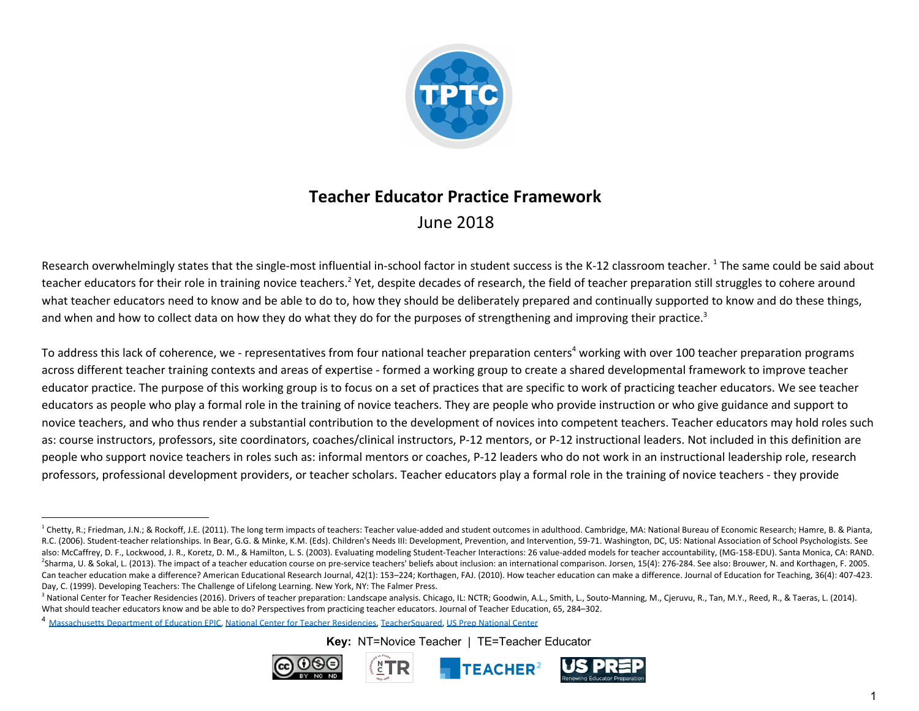

## **Teacher Educator Practice Framework** June 2018

Research overwhelmingly states that the single-most influential in-school factor in student success is the K-12 classroom teacher.  $^{1}$  The same could be said about teacher educators for their role in training novice teachers.<sup>2</sup> Yet, despite decades of research, the field of teacher preparation still struggles to cohere around what teacher educators need to know and be able to do to, how they should be deliberately prepared and continually supported to know and do these things, and when and how to collect data on how they do what they do for the purposes of strengthening and improving their practice.<sup>3</sup>

To address this lack of coherence, we - representatives from four national teacher preparation centers<sup>4</sup> working with over 100 teacher preparation programs across different teacher training contexts and areas of expertise - formed a working group to create a shared developmental framework to improve teacher educator practice. The purpose of this working group is to focus on a set of practices that are specific to work of practicing teacher educators. We see teacher educators as people who play a formal role in the training of novice teachers. They are people who provide instruction or who give guidance and support to novice teachers, and who thus render a substantial contribution to the development of novices into competent teachers. Teacher educators may hold roles such as: course instructors, professors, site coordinators, coaches/clinical instructors, P-12 mentors, or P-12 instructional leaders. Not included in this definition are people who support novice teachers in roles such as: informal mentors or coaches, P-12 leaders who do not work in an instructional leadership role, research professors, professional development providers, or teacher scholars. Teacher educators play a formal role in the training of novice teachers - they provide

<sup>4</sup> [Massachusetts](http://www.doe.mass.edu/edprep/EPIC/) Department of Education EPIC, National Center for Teacher [Residencies,](https://nctresidencies.org/) [TeacherSquared](https://www.teachersquared.org/), US Prep [National](http://www.usprepnationalcenter.com/) Center





<sup>&</sup>lt;sup>1</sup> Chetty, R.; Friedman, J.N.; & Rockoff, J.E. (2011). The long term impacts of teachers: Teacher value-added and student outcomes in adulthood. Cambridge, MA: National Bureau of Economic Research; Hamre, B. & Pianta, R.C. (2006). Student-teacher relationships. In Bear, G.G. & Minke, K.M. (Eds). Children's Needs III: Development, Prevention, and Intervention, 59-71. Washington, DC, US: National Association of School Psychologists. See also: McCaffrey, D. F., Lockwood, J. R., Koretz, D. M., & Hamilton, L. S. (2003). Evaluating modeling Student-Teacher Interactions: 26 value-added models for teacher accountability, (MG-158-EDU). Santa Monica, CA: RAND. <sup>2</sup>Sharma, U. & Sokal, L. (2013). The impact of a teacher education course on pre-service teachers' beliefs about inclusion: an international comparison. Jorsen, 15(4): 276-284. See also: Brouwer, N. and Korthagen, F. 2005 Can teacher education make a difference? American Educational Research Journal, 42(1): 153–224; Korthagen, FAJ. (2010). How teacher education can make a difference. Journal of Education for Teaching, 36(4): 407-423. Day, C. (1999). Developing Teachers: The Challenge of Lifelong Learning. New York, NY: The Falmer Press.

<sup>&</sup>lt;sup>3</sup> National Center for Teacher Residencies (2016). Drivers of teacher preparation: Landscape analysis. Chicago, IL: NCTR; Goodwin, A.L., Smith, L., Souto-Manning, M., Cjeruvu, R., Tan, M.Y., Reed, R., & Taeras, L. (2014). What should teacher educators know and be able to do? Perspectives from practicing teacher educators. Journal of Teacher Education, 65, 284–302.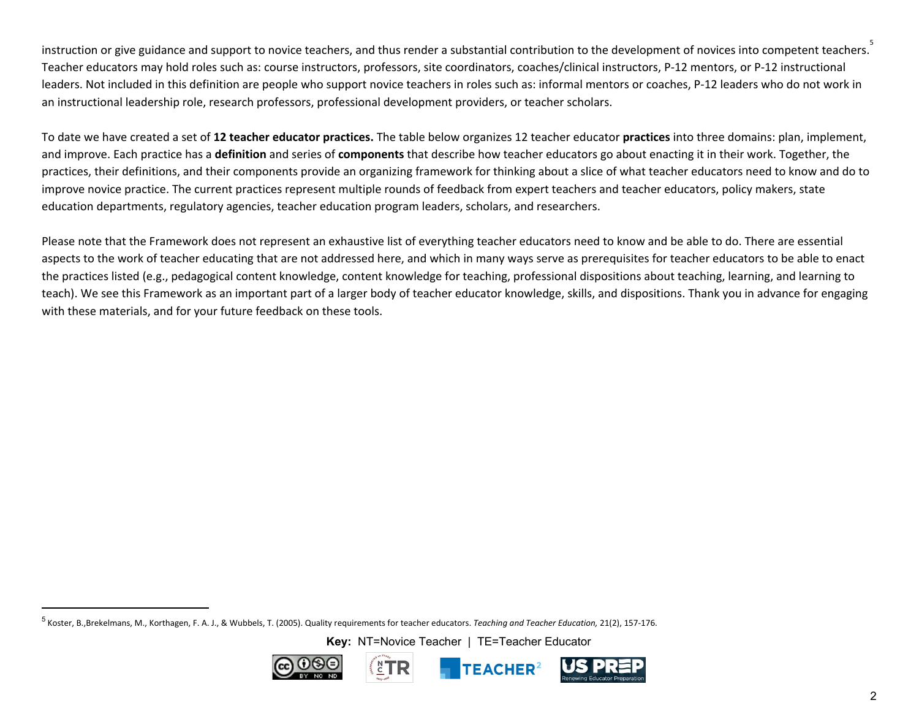instruction or give guidance and support to novice teachers, and thus render a substantial contribution to the development of novices into competent teachers.  $\tilde{\cdot}$ Teacher educators may hold roles such as: course instructors, professors, site coordinators, coaches/clinical instructors, P-12 mentors, or P-12 instructional leaders. Not included in this definition are people who support novice teachers in roles such as: informal mentors or coaches, P-12 leaders who do not work in an instructional leadership role, research professors, professional development providers, or teacher scholars.

To date we have created a set of **12 teacher educator practices.** The table below organizes 12 teacher educator **practices** into three domains: plan, implement, and improve. Each practice has a **definition** and series of **components** that describe how teacher educators go about enacting it in their work. Together, the practices, their definitions, and their components provide an organizing framework for thinking about a slice of what teacher educators need to know and do to improve novice practice. The current practices represent multiple rounds of feedback from expert teachers and teacher educators, policy makers, state education departments, regulatory agencies, teacher education program leaders, scholars, and researchers.

Please note that the Framework does not represent an exhaustive list of everything teacher educators need to know and be able to do. There are essential aspects to the work of teacher educating that are not addressed here, and which in many ways serve as prerequisites for teacher educators to be able to enact the practices listed (e.g., pedagogical content knowledge, content knowledge for teaching, professional dispositions about teaching, learning, and learning to teach). We see this Framework as an important part of a larger body of teacher educator knowledge, skills, and dispositions. Thank you in advance for engaging with these materials, and for your future feedback on these tools.







<sup>5</sup> Koster, B.,Brekelmans, M., Korthagen, F. A. J., & Wubbels, T. (2005). Quality requirements for teacher educators. *Teaching and Teacher Education,* 21(2), 157-176.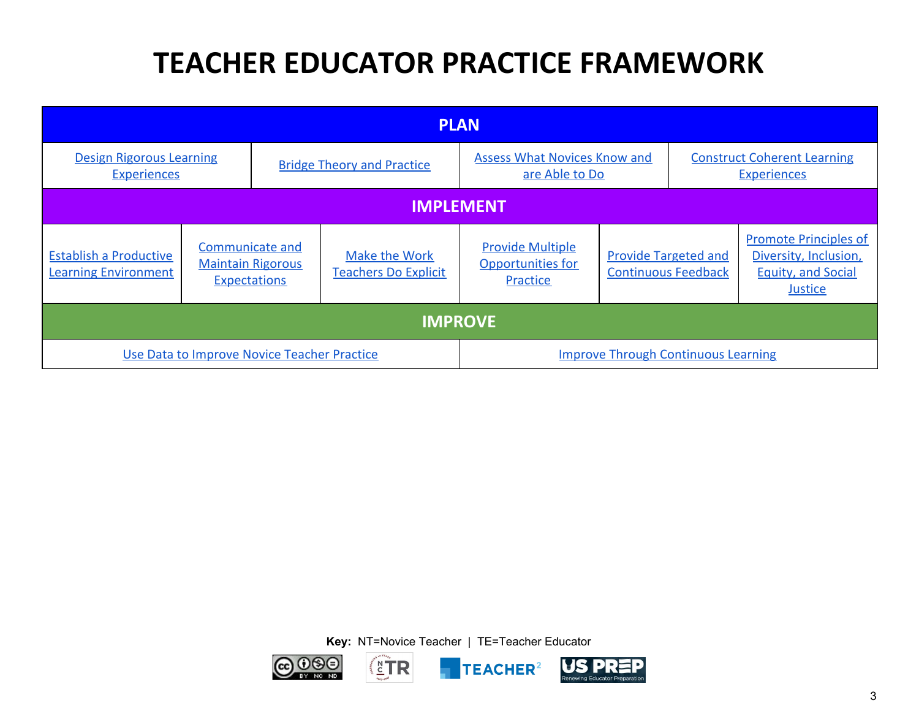# **TEACHER EDUCATOR PRACTICE FRAMEWORK**

| <b>PLAN</b>                                                  |                                                                           |                                   |                                                     |                                                          |                                                           |                                                          |                                                                                               |
|--------------------------------------------------------------|---------------------------------------------------------------------------|-----------------------------------|-----------------------------------------------------|----------------------------------------------------------|-----------------------------------------------------------|----------------------------------------------------------|-----------------------------------------------------------------------------------------------|
| <b>Design Rigorous Learning</b><br><b>Experiences</b>        |                                                                           | <b>Bridge Theory and Practice</b> |                                                     | <b>Assess What Novices Know and</b><br>are Able to Do    |                                                           | <b>Construct Coherent Learning</b><br><b>Experiences</b> |                                                                                               |
| <b>IMPLEMENT</b>                                             |                                                                           |                                   |                                                     |                                                          |                                                           |                                                          |                                                                                               |
| <b>Establish a Productive</b><br><b>Learning Environment</b> | <b>Communicate and</b><br><b>Maintain Rigorous</b><br><b>Expectations</b> |                                   | <b>Make the Work</b><br><b>Teachers Do Explicit</b> | <b>Provide Multiple</b><br>Opportunities for<br>Practice | <b>Provide Targeted and</b><br><b>Continuous Feedback</b> |                                                          | <b>Promote Principles of</b><br>Diversity, Inclusion,<br><b>Equity, and Social</b><br>Justice |
| <b>IMPROVE</b>                                               |                                                                           |                                   |                                                     |                                                          |                                                           |                                                          |                                                                                               |
| Use Data to Improve Novice Teacher Practice                  |                                                                           |                                   |                                                     | <b>Improve Through Continuous Learning</b>               |                                                           |                                                          |                                                                                               |



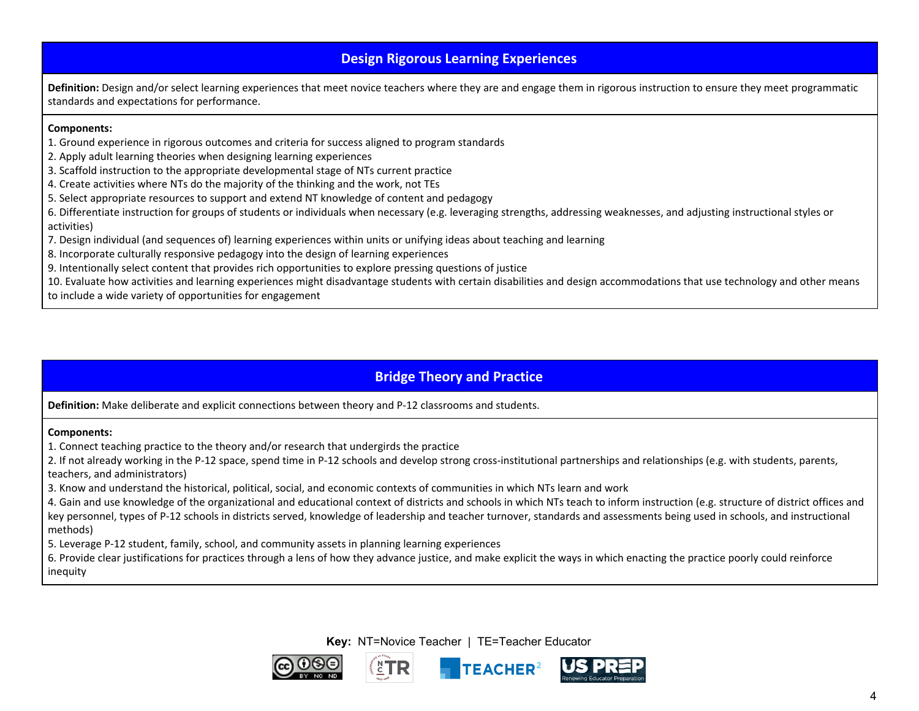## <span id="page-3-0"></span>**Design Rigorous Learning Experiences**

**Definition:** Design and/or select learning experiences that meet novice teachers where they are and engage them in rigorous instruction to ensure they meet programmatic standards and expectations for performance.

#### **Components:**

- 1. Ground experience in rigorous outcomes and criteria for success aligned to program standards
- 2. Apply adult learning theories when designing learning experiences
- 3. Scaffold instruction to the appropriate developmental stage of NTs current practice
- 4. Create activities where NTs do the majority of the thinking and the work, not TEs
- 5. Select appropriate resources to support and extend NT knowledge of content and pedagogy
- 6. Differentiate instruction for groups of students or individuals when necessary (e.g. leveraging strengths, addressing weaknesses, and adjusting instructional styles or activities)
- 7. Design individual (and sequences of) learning experiences within units or unifying ideas about teaching and learning
- 8. Incorporate culturally responsive pedagogy into the design of learning experiences
- 9. Intentionally select content that provides rich opportunities to explore pressing questions of justice

10. Evaluate how activities and learning experiences might disadvantage students with certain disabilities and design accommodations that use technology and other means to include a wide variety of opportunities for engagement

## <span id="page-3-1"></span>**Bridge Theory and Practice**

**Definition:** Make deliberate and explicit connections between theory and P-12 classrooms and students.

#### **Components:**

- 1. Connect teaching practice to the theory and/or research that undergirds the practice
- 2. If not already working in the P-12 space, spend time in P-12 schools and develop strong cross-institutional partnerships and relationships (e.g. with students, parents, teachers, and administrators)
- 3. Know and understand the historical, political, social, and economic contexts of communities in which NTs learn and work
- 4. Gain and use knowledge of the organizational and educational context of districts and schools in which NTs teach to inform instruction (e.g. structure of district offices and key personnel, types of P-12 schools in districts served, knowledge of leadership and teacher turnover, standards and assessments being used in schools, and instructional methods)
- 5. Leverage P-12 student, family, school, and community assets in planning learning experiences
- 6. Provide clear justifications for practices through a lens of how they advance justice, and make explicit the ways in which enacting the practice poorly could reinforce inequity







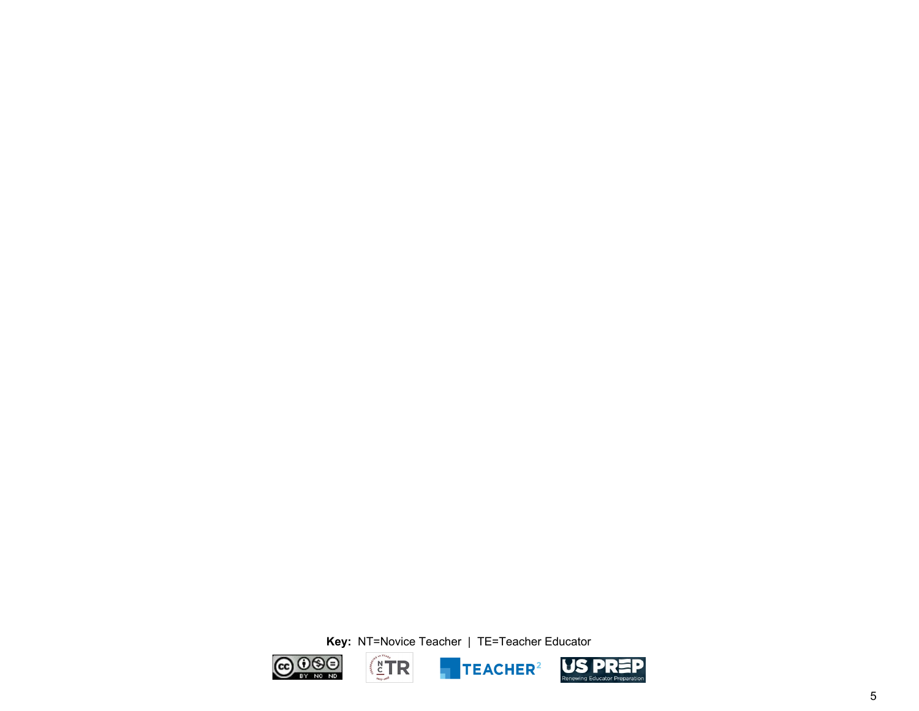

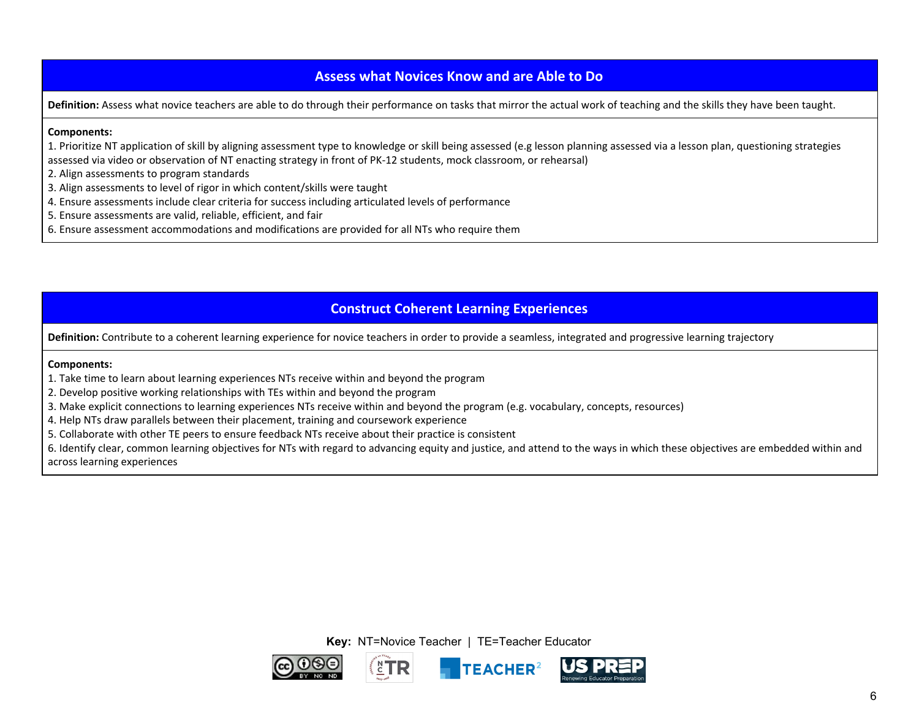### <span id="page-5-0"></span>**Assess what Novices Know and are Able to Do**

**Definition:** Assess what novice teachers are able to do through their performance on tasks that mirror the actual work of teaching and the skills they have been taught.

#### **Components:**

1. Prioritize NT application of skill by aligning assessment type to knowledge or skill being assessed (e.g lesson planning assessed via a lesson plan, questioning strategies assessed via video or observation of NT enacting strategy in front of PK-12 students, mock classroom, or rehearsal)

- 2. Align assessments to program standards
- 3. Align assessments to level of rigor in which content/skills were taught
- 4. Ensure assessments include clear criteria for success including articulated levels of performance
- 5. Ensure assessments are valid, reliable, efficient, and fair
- 6. Ensure assessment accommodations and modifications are provided for all NTs who require them

## <span id="page-5-1"></span>**Construct Coherent Learning Experiences**

**Definition:** Contribute to a coherent learning experience for novice teachers in order to provide a seamless, integrated and progressive learning trajectory

#### **Components:**

- 1. Take time to learn about learning experiences NTs receive within and beyond the program
- 2. Develop positive working relationships with TEs within and beyond the program
- 3. Make explicit connections to learning experiences NTs receive within and beyond the program (e.g. vocabulary, concepts, resources)
- 4. Help NTs draw parallels between their placement, training and coursework experience
- 5. Collaborate with other TE peers to ensure feedback NTs receive about their practice is consistent

6. Identify clear, common learning objectives for NTs with regard to advancing equity and justice, and attend to the ways in which these objectives are embedded within and across learning experiences

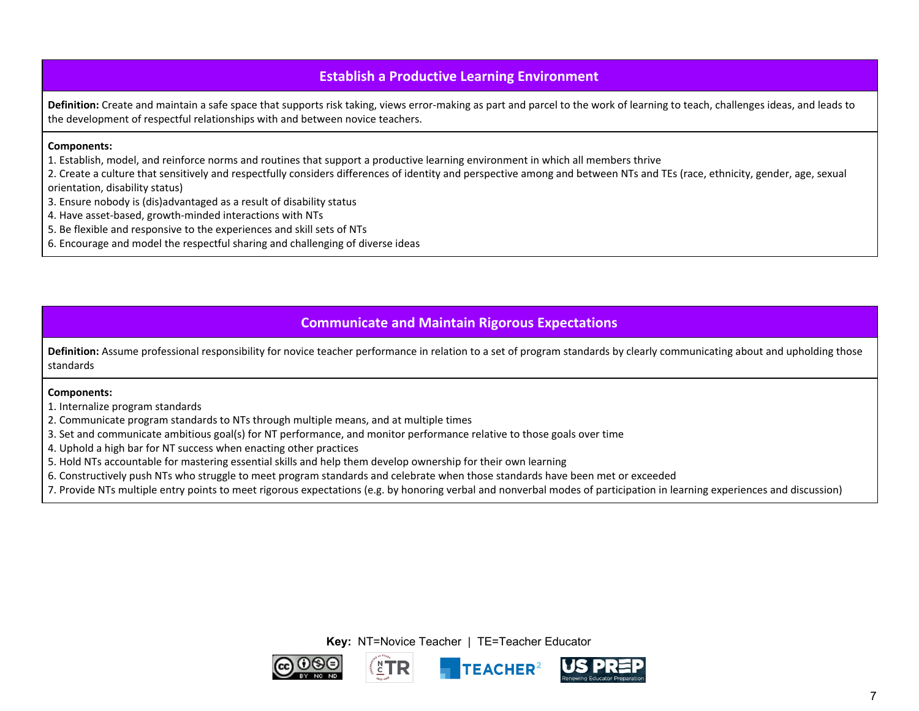## <span id="page-6-0"></span>**Establish a Productive Learning Environment**

**Definition:** Create and maintain a safe space that supports risk taking, views error-making as part and parcel to the work of learning to teach, challenges ideas, and leads to the development of respectful relationships with and between novice teachers.

#### **Components:**

- 1. Establish, model, and reinforce norms and routines that support a productive learning environment in which all members thrive
- 2. Create a culture that sensitively and respectfully considers differences of identity and perspective among and between NTs and TEs (race, ethnicity, gender, age, sexual orientation, disability status)
- 3. Ensure nobody is (dis)advantaged as a result of disability status
- 4. Have asset-based, growth-minded interactions with NTs
- 5. Be flexible and responsive to the experiences and skill sets of NTs
- 6. Encourage and model the respectful sharing and challenging of diverse ideas

## <span id="page-6-1"></span>**Communicate and Maintain Rigorous Expectations**

**Definition:** Assume professional responsibility for novice teacher performance in relation to a set of program standards by clearly communicating about and upholding those standards

#### **Components:**

- 1. Internalize program standards
- 2. Communicate program standards to NTs through multiple means, and at multiple times
- 3. Set and communicate ambitious goal(s) for NT performance, and monitor performance relative to those goals over time
- 4. Uphold a high bar for NT success when enacting other practices
- 5. Hold NTs accountable for mastering essential skills and help them develop ownership for their own learning
- 6. Constructively push NTs who struggle to meet program standards and celebrate when those standards have been met or exceeded
- 7. Provide NTs multiple entry points to meet rigorous expectations (e.g. by honoring verbal and nonverbal modes of participation in learning experiences and discussion)



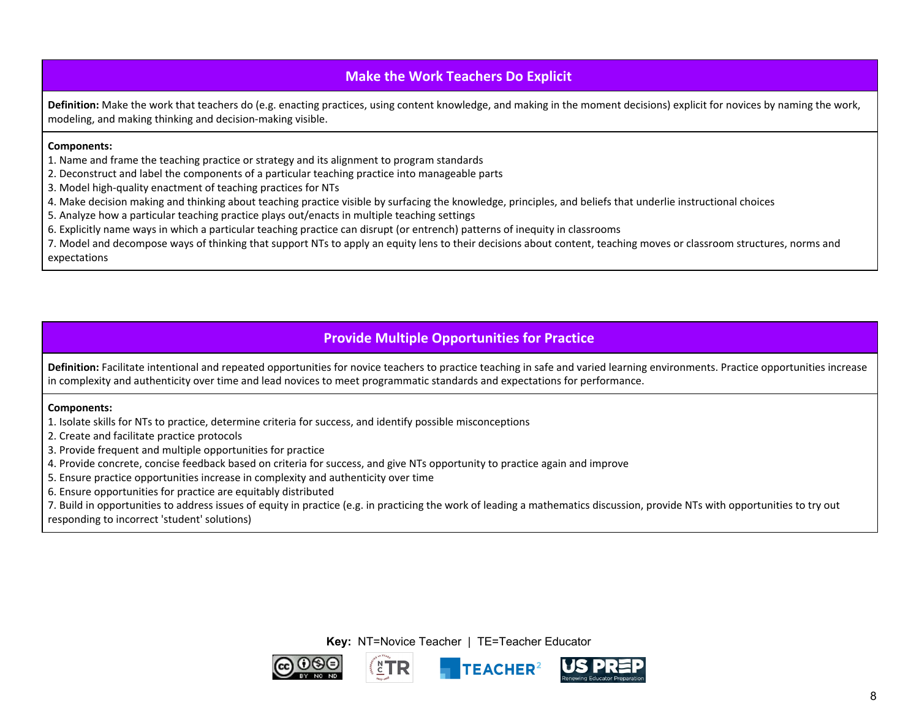## <span id="page-7-0"></span>**Make the Work Teachers Do Explicit**

**Definition:** Make the work that teachers do (e.g. enacting practices, using content knowledge, and making in the moment decisions) explicit for novices by naming the work, modeling, and making thinking and decision-making visible.

#### **Components:**

- 1. Name and frame the teaching practice or strategy and its alignment to program standards
- 2. Deconstruct and label the components of a particular teaching practice into manageable parts
- 3. Model high-quality enactment of teaching practices for NTs
- 4. Make decision making and thinking about teaching practice visible by surfacing the knowledge, principles, and beliefs that underlie instructional choices
- 5. Analyze how a particular teaching practice plays out/enacts in multiple teaching settings
- 6. Explicitly name ways in which a particular teaching practice can disrupt (or entrench) patterns of inequity in classrooms

7. Model and decompose ways of thinking that support NTs to apply an equity lens to their decisions about content, teaching moves or classroom structures, norms and expectations

## <span id="page-7-1"></span>**Provide Multiple Opportunities for Practice**

**Definition:** Facilitate intentional and repeated opportunities for novice teachers to practice teaching in safe and varied learning environments. Practice opportunities increase in complexity and authenticity over time and lead novices to meet programmatic standards and expectations for performance.

#### **Components:**

- 1. Isolate skills for NTs to practice, determine criteria for success, and identify possible misconceptions
- 2. Create and facilitate practice protocols
- 3. Provide frequent and multiple opportunities for practice
- 4. Provide concrete, concise feedback based on criteria for success, and give NTs opportunity to practice again and improve
- 5. Ensure practice opportunities increase in complexity and authenticity over time
- 6. Ensure opportunities for practice are equitably distributed

7. Build in opportunities to address issues of equity in practice (e.g. in practicing the work of leading a mathematics discussion, provide NTs with opportunities to try out responding to incorrect 'student' solutions)



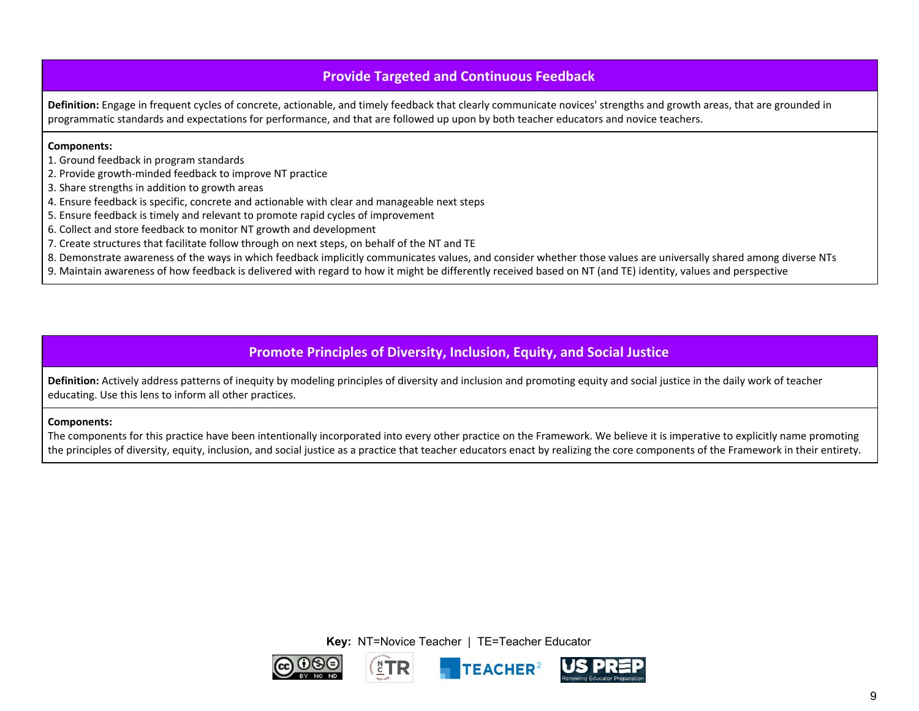## <span id="page-8-0"></span>**Provide Targeted and Continuous Feedback**

**Definition:** Engage in frequent cycles of concrete, actionable, and timely feedback that clearly communicate novices' strengths and growth areas, that are grounded in programmatic standards and expectations for performance, and that are followed up upon by both teacher educators and novice teachers.

#### **Components:**

- 1. Ground feedback in program standards
- 2. Provide growth-minded feedback to improve NT practice
- 3. Share strengths in addition to growth areas
- 4. Ensure feedback is specific, concrete and actionable with clear and manageable next steps
- 5. Ensure feedback is timely and relevant to promote rapid cycles of improvement
- 6. Collect and store feedback to monitor NT growth and development
- 7. Create structures that facilitate follow through on next steps, on behalf of the NT and TE
- 8. Demonstrate awareness of the ways in which feedback implicitly communicates values, and consider whether those values are universally shared among diverse NTs
- 9. Maintain awareness of how feedback is delivered with regard to how it might be differently received based on NT (and TE) identity, values and perspective

## <span id="page-8-1"></span>**Promote Principles of Diversity, Inclusion, Equity, and Social Justice**

**Definition:** Actively address patterns of inequity by modeling principles of diversity and inclusion and promoting equity and social justice in the daily work of teacher educating. Use this lens to inform all other practices.

#### **Components:**

The components for this practice have been intentionally incorporated into every other practice on the Framework. We believe it is imperative to explicitly name promoting the principles of diversity, equity, inclusion, and social justice as a practice that teacher educators enact by realizing the core components of the Framework in their entirety.